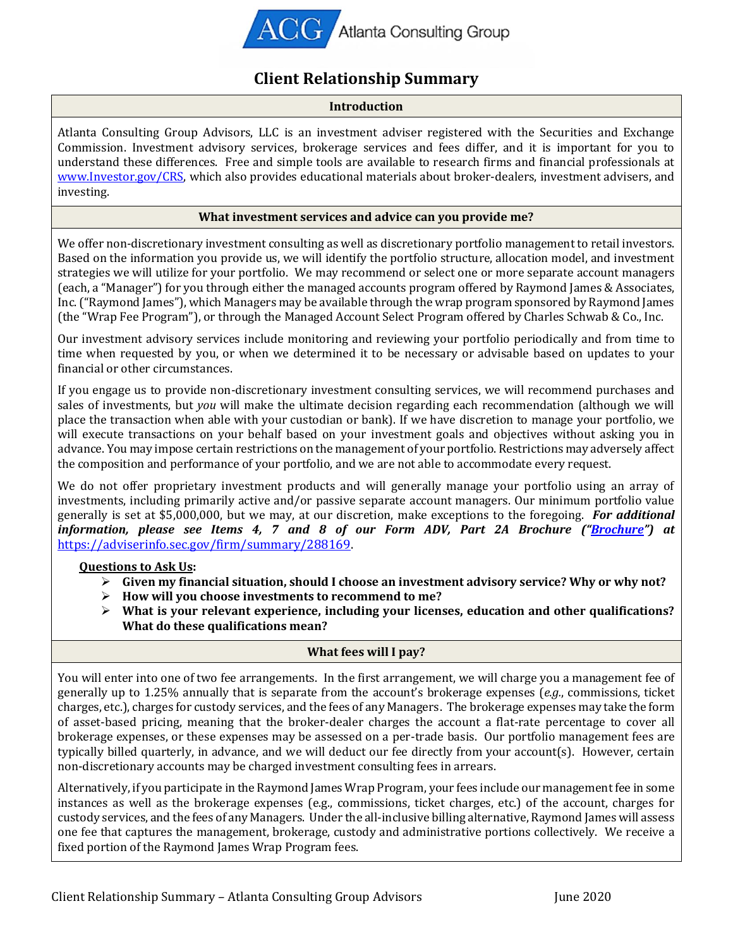

# **Client Relationship Summary**

#### **Introduction**

Atlanta Consulting Group Advisors, LLC is an investment adviser registered with the Securities and Exchange Commission. Investment advisory services, brokerage services and fees differ, and it is important for you to understand these differences. Free and simple tools are available to research firms and financial professionals at [www.Investor.gov/CRS,](file:///C:/NRPortbl/Active/JFAUST/www.Investor.gov/CRS) which also provides educational materials about broker-dealers, investment advisers, and investing.

### **What investment services and advice can you provide me?**

We offer non-discretionary investment consulting as well as discretionary portfolio management to retail investors. Based on the information you provide us, we will identify the portfolio structure, allocation model, and investment strategies we will utilize for your portfolio. We may recommend or select one or more separate account managers (each, a "Manager") for you through either the managed accounts program offered by Raymond James & Associates, Inc.("Raymond James"), which Managers may be available through the wrap program sponsored by Raymond James (the "Wrap Fee Program"), or through the Managed Account Select Program offered by Charles Schwab & Co., Inc.

Our investment advisory services include monitoring and reviewing your portfolio periodically and from time to time when requested by you, or when we determined it to be necessary or advisable based on updates to your financial or other circumstances.

If you engage us to provide non-discretionary investment consulting services, we will recommend purchases and sales of investments, but *you* will make the ultimate decision regarding each recommendation (although we will place the transaction when able with your custodian or bank). If we have discretion to manage your portfolio, we will execute transactions on your behalf based on your investment goals and objectives without asking you in advance. You may impose certain restrictions on the management of your portfolio. Restrictions may adversely affect the composition and performance of your portfolio, and we are not able to accommodate every request.

We do not offer proprietary investment products and will generally manage your portfolio using an array of investments, including primarily active and/or passive separate account managers. Our minimum portfolio value generally is set at \$5,000,000, but we may, at our discretion, make exceptions to the foregoing. *For additional information, please see Items 4, 7 and 8 of our Form ADV, Part 2A Brochure ("[Brochure](https://adviserinfo.sec.gov/firm/summary/288169)") at* [https://adviserinfo.sec.gov/firm/summary/288169.](https://adviserinfo.sec.gov/firm/summary/288169)

## **Questions to Ask Us:**

- ➢ **Given my financial situation, should I choose an investment advisory service? Why or why not?**
- ➢ **How will you choose investments to recommend to me?**
- ➢ **What is your relevant experience, including your licenses, education and other qualifications? What do these qualifications mean?**

#### **What fees will I pay?**

You will enter into one of two fee arrangements. In the first arrangement, we will charge you a management fee of generally up to 1.25% annually that is separate from the account's brokerage expenses (*e.g.*, commissions, ticket charges, etc.), charges for custody services, and the fees of any Managers. The brokerage expenses may take the form of asset-based pricing, meaning that the broker-dealer charges the account a flat-rate percentage to cover all brokerage expenses, or these expenses may be assessed on a per-trade basis. Our portfolio management fees are typically billed quarterly, in advance, and we will deduct our fee directly from your account(s). However, certain non-discretionary accounts may be charged investment consulting fees in arrears.

Alternatively, if you participate in the Raymond James Wrap Program, your fees include our management fee in some instances as well as the brokerage expenses (e.g., commissions, ticket charges, etc.) of the account, charges for custody services, and the fees of any Managers. Under the all-inclusive billing alternative, Raymond James will assess one fee that captures the management, brokerage, custody and administrative portions collectively. We receive a fixed portion of the Raymond James Wrap Program fees.